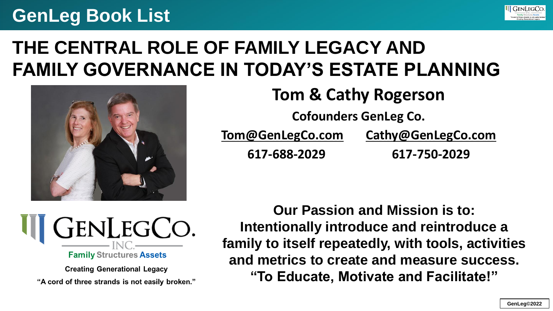

## **THE CENTRAL ROLE OF FAMILY LEGACY AND FAMILY GOVERNANCE IN TODAY'S ESTATE PLANNING**



**Tom & Cathy Rogerson Cofounders GenLeg Co. [Tom@GenLegCo.com](mailto:Tom@GenLegCo.com) [Cathy@GenLegCo.com](mailto:Cathy@GenLegCo.com) 617-688-2029 617-750-2029**



**Creating Generational Legacy** "A cord of three strands is not easily broken."

**Our Passion and Mission is to: Intentionally introduce and reintroduce a family to itself repeatedly, with tools, activities and metrics to create and measure success. "To Educate, Motivate and Facilitate!"**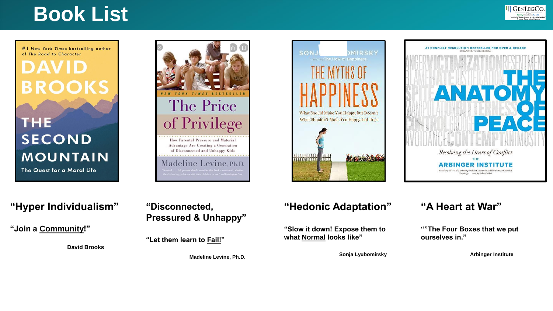

#1 New York Times bestselling author of The Road to Character

**BROOKS** 

DAVI

#### in Fi E **SECOND MOUNTAIN** The Quest for a Moral Life







#### **"Hyper Individualism"**

**"Join a Community!"**

**David Brooks**

#### **"Disconnected, Pressured & Unhappy"**

**"Let them learn to Fail!"**

**Madeline Levine, Ph.D.**

#### **"Hedonic Adaptation"**

**"Slow it down! Expose them to what Normal looks like"**

**Sonja Lyubomirsky**

#### **"A Heart at War"**

**""The Four Boxes that we put ourselves in."**

**Arbinger Institute**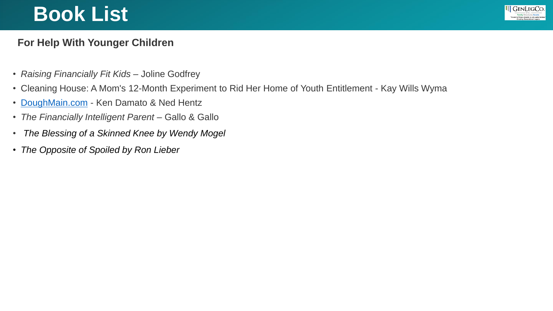

#### **For Help With Younger Children**

- *Raising Financially Fit Kids* Joline Godfrey
- Cleaning House: A Mom's 12-Month Experiment to Rid Her Home of Youth Entitlement Kay Wills Wyma
- [DoughMain.com](http://doughmain.com/) Ken Damato & Ned Hentz
- *The Financially Intelligent Parent* Gallo & Gallo
- *The Blessing of a Skinned Knee by Wendy Mogel*
- *The Opposite of Spoiled by Ron Lieber*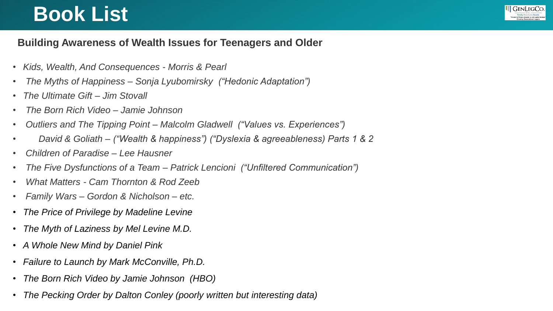

#### **Building Awareness of Wealth Issues for Teenagers and Older**

- *Kids, Wealth, And Consequences - Morris & Pearl*
- *The Myths of Happiness – Sonja Lyubomirsky ("Hedonic Adaptation")*
- *The Ultimate Gift – Jim Stovall*
- *The Born Rich Video – Jamie Johnson*
- *Outliers and The Tipping Point – Malcolm Gladwell ("Values vs. Experiences")*
- *David & Goliath – ("Wealth & happiness") ("Dyslexia & agreeableness) Parts 1 & 2*
- *Children of Paradise – Lee Hausner*
- *The Five Dysfunctions of a Team – Patrick Lencioni ("Unfiltered Communication")*
- *What Matters - Cam Thornton & Rod Zeeb*
- *Family Wars – Gordon & Nicholson – etc.*
- *The Price of Privilege by Madeline Levine*
- *The Myth of Laziness by Mel Levine M.D.*
- *A Whole New Mind by Daniel Pink*
- *Failure to Launch by Mark McConville, Ph.D.*
- *The Born Rich Video by Jamie Johnson (HBO)*
- *The Pecking Order by Dalton Conley (poorly written but interesting data)*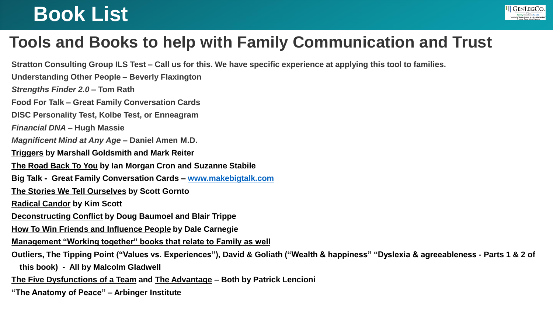

### **Tools and Books to help with Family Communication and Trust**

**Stratton Consulting Group ILS Test – Call us for this. We have specific experience at applying this tool to families.**

**Understanding Other People – Beverly Flaxington**

*Strengths Finder 2.0* **– Tom Rath** 

**Food For Talk – Great Family Conversation Cards**

**DISC Personality Test, Kolbe Test, or Enneagram**

*Financial DNA* **– Hugh Massie** 

*Magnificent Mind at Any Age* **– Daniel Amen M.D.** 

**Triggers by Marshall Goldsmith and Mark Reiter**

**The Road Back To You by Ian Morgan Cron and Suzanne Stabile**

**Big Talk - Great Family Conversation Cards – [www.makebigtalk.com](http://www.makebigtalk.com/)**

**The Stories We Tell Ourselves by Scott Gornto**

**Radical Candor by Kim Scott**

**Deconstructing Conflict by Doug Baumoel and Blair Trippe**

**How To Win Friends and Influence People by Dale Carnegie**

**Management "Working together" books that relate to Family as well**

**Outliers, The Tipping Point ("Values vs. Experiences"), David & Goliath ("Wealth & happiness" "Dyslexia & agreeableness - Parts 1 & 2 of** 

**this book) - All by Malcolm Gladwell** 

**The Five Dysfunctions of a Team and The Advantage – Both by Patrick Lencioni**

**"The Anatomy of Peace" – Arbinger Institute**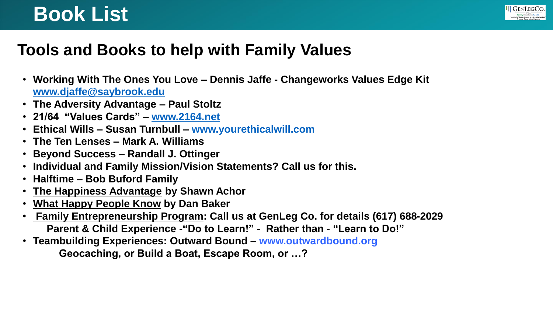

### **Tools and Books to help with Family Values**

- **Working With The Ones You Love – Dennis Jaffe - Changeworks Values Edge Kit [www.djaffe@saybrook.edu](http://www.djaffe@saybrook.edu)**
- **The Adversity Advantage – Paul Stoltz**
- **21/64 "Values Cards" – [www.2164.net](http://www.2164.net/)**
- **Ethical Wills – Susan Turnbull – [www.yourethicalwill.com](http://www.yourethicalwill.com/)**
- **The Ten Lenses – Mark A. Williams**
- **Beyond Success – Randall J. Ottinger**
- **Individual and Family Mission/Vision Statements? Call us for this.**
- **Halftime – Bob Buford Family**
- **The Happiness Advantage by Shawn Achor**
- **What Happy People Know by Dan Baker**
- **Family Entrepreneurship Program: Call us at GenLeg Co. for details (617) 688-2029 Parent & Child Experience -"Do to Learn!" - Rather than - "Learn to Do!"**
- **Teambuilding Experiences: Outward Bound – www.outwardbound.org Geocaching, or Build a Boat, Escape Room, or …?**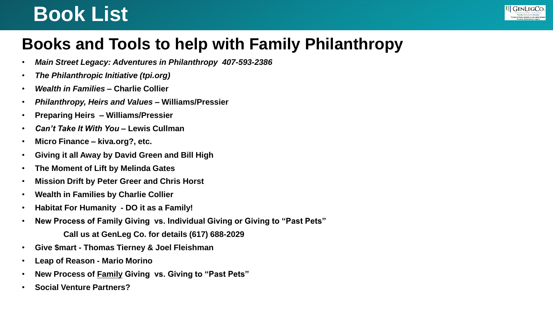

### **Books and Tools to help with Family Philanthropy**

- *Main Street Legacy: Adventures in Philanthropy 407-593-2386*
- *The Philanthropic Initiative (tpi.org)*
- *Wealth in Families* **– Charlie Collier**
- *Philanthropy, Heirs and Values* **– Williams/Pressier**
- **Preparing Heirs – Williams/Pressier**
- *Can't Take It With You* **– Lewis Cullman**
- **Micro Finance – kiva.org?, etc.**
- **Giving it all Away by David Green and Bill High**
- **The Moment of Lift by Melinda Gates**
- **Mission Drift by Peter Greer and Chris Horst**
- **Wealth in Families by Charlie Collier**
- **Habitat For Humanity - DO it as a Family!**
- **New Process of Family Giving vs. Individual Giving or Giving to "Past Pets"** 
	- **Call us at GenLeg Co. for details (617) 688-2029**
- **Give \$mart - Thomas Tierney & Joel Fleishman**
- **Leap of Reason - Mario Morino**
- **New Process of Family Giving vs. Giving to "Past Pets"**
- **Social Venture Partners?**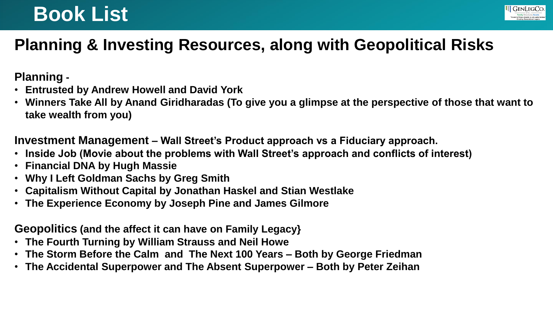

### **Planning & Investing Resources, along with Geopolitical Risks**

**Planning -**

- **Entrusted by Andrew Howell and David York**
- **Winners Take All by Anand Giridharadas (To give you a glimpse at the perspective of those that want to take wealth from you)**

**Investment Management – Wall Street's Product approach vs a Fiduciary approach.**

- **Inside Job (Movie about the problems with Wall Street's approach and conflicts of interest)**
- **Financial DNA by Hugh Massie**
- **Why I Left Goldman Sachs by Greg Smith**
- **Capitalism Without Capital by Jonathan Haskel and Stian Westlake**
- **The Experience Economy by Joseph Pine and James Gilmore**

**Geopolitics (and the affect it can have on Family Legacy}**

- **The Fourth Turning by William Strauss and Neil Howe**
- **The Storm Before the Calm and The Next 100 Years – Both by George Friedman**
- **The Accidental Superpower and The Absent Superpower – Both by Peter Zeihan**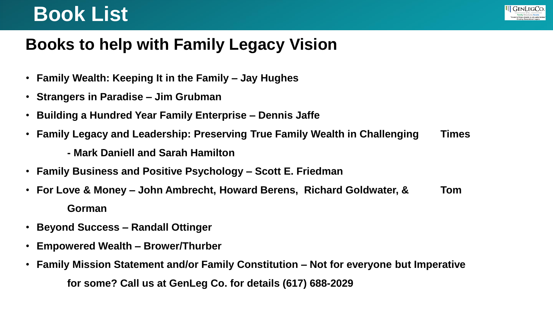#### **III** GenLegCo.

### **Books to help with Family Legacy Vision**

- **Family Wealth: Keeping It in the Family – Jay Hughes**
- **Strangers in Paradise – Jim Grubman**
- **Building a Hundred Year Family Enterprise – Dennis Jaffe**
- **Family Legacy and Leadership: Preserving True Family Wealth in Challenging Times** 
	- **- Mark Daniell and Sarah Hamilton**
- **Family Business and Positive Psychology – Scott E. Friedman**
- **For Love & Money – John Ambrecht, Howard Berens, Richard Goldwater, & Tom Gorman**
- **Beyond Success – Randall Ottinger**
- **Empowered Wealth – Brower/Thurber**
- **Family Mission Statement and/or Family Constitution – Not for everyone but Imperative for some? Call us at GenLeg Co. for details (617) 688-2029**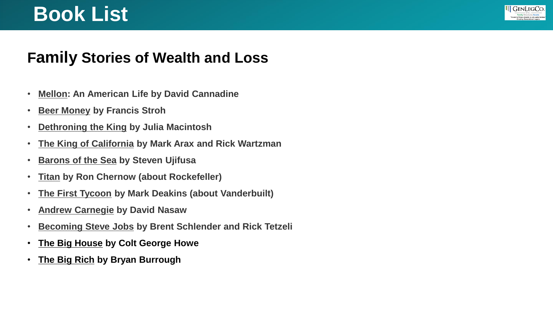#### **III** GENLEGCO.

#### **Family Stories of Wealth and Loss**

- **Mellon: An American Life by David Cannadine**
- **Beer Money by Francis Stroh**
- **Dethroning the King by Julia Macintosh**
- **The King of California by Mark Arax and Rick Wartzman**
- **Barons of the Sea by Steven Ujifusa**
- **Titan by Ron Chernow (about Rockefeller)**
- **The First Tycoon by Mark Deakins (about Vanderbuilt)**
- **Andrew Carnegie by David Nasaw**
- **Becoming Steve Jobs by Brent Schlender and Rick Tetzeli**
- **The Big House by Colt George Howe**
- **The Big Rich by Bryan Burrough**